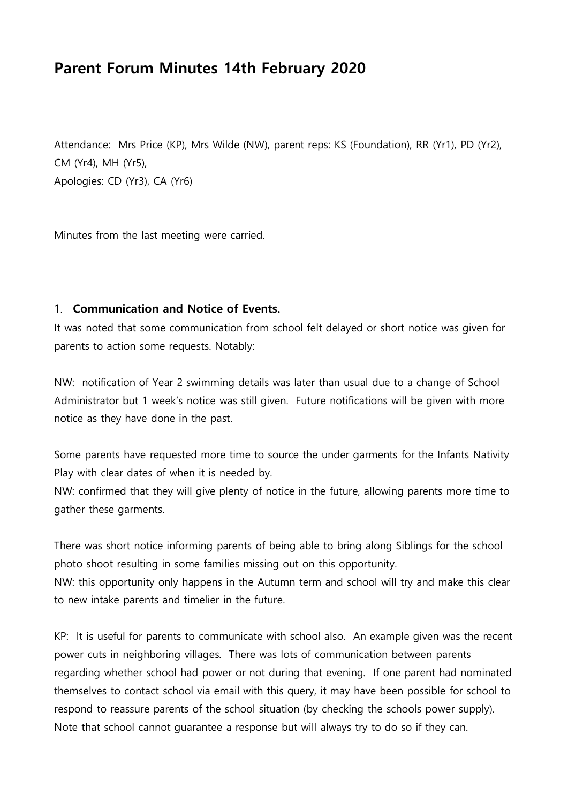# **Parent Forum Minutes 14th February 2020**

Attendance: Mrs Price (KP), Mrs Wilde (NW), parent reps: KS (Foundation), RR (Yr1), PD (Yr2), CM (Yr4), MH (Yr5), Apologies: CD (Yr3), CA (Yr6)

Minutes from the last meeting were carried.

### 1. **Communication and Notice of Events.**

It was noted that some communication from school felt delayed or short notice was given for parents to action some requests. Notably:

NW: notification of Year 2 swimming details was later than usual due to a change of School Administrator but 1 week's notice was still given. Future notifications will be given with more notice as they have done in the past.

Some parents have requested more time to source the under garments for the Infants Nativity Play with clear dates of when it is needed by.

NW: confirmed that they will give plenty of notice in the future, allowing parents more time to gather these garments.

There was short notice informing parents of being able to bring along Siblings for the school photo shoot resulting in some families missing out on this opportunity.

NW: this opportunity only happens in the Autumn term and school will try and make this clear to new intake parents and timelier in the future.

KP: It is useful for parents to communicate with school also. An example given was the recent power cuts in neighboring villages. There was lots of communication between parents regarding whether school had power or not during that evening. If one parent had nominated themselves to contact school via email with this query, it may have been possible for school to respond to reassure parents of the school situation (by checking the schools power supply). Note that school cannot guarantee a response but will always try to do so if they can.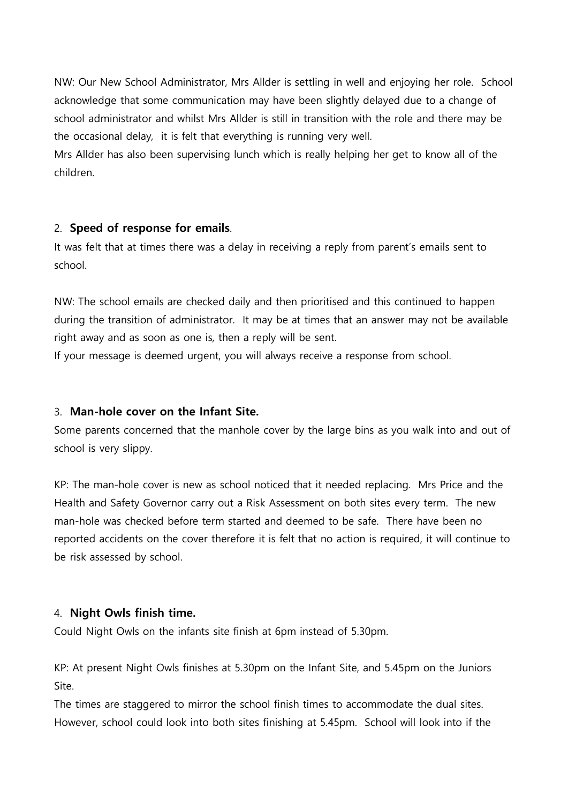NW: Our New School Administrator, Mrs Allder is settling in well and enjoying her role. School acknowledge that some communication may have been slightly delayed due to a change of school administrator and whilst Mrs Allder is still in transition with the role and there may be the occasional delay, it is felt that everything is running very well.

Mrs Allder has also been supervising lunch which is really helping her get to know all of the children.

#### 2. **Speed of response for emails**.

It was felt that at times there was a delay in receiving a reply from parent's emails sent to school.

NW: The school emails are checked daily and then prioritised and this continued to happen during the transition of administrator. It may be at times that an answer may not be available right away and as soon as one is, then a reply will be sent.

If your message is deemed urgent, you will always receive a response from school.

### 3. **Man-hole cover on the Infant Site.**

Some parents concerned that the manhole cover by the large bins as you walk into and out of school is very slippy.

KP: The man-hole cover is new as school noticed that it needed replacing. Mrs Price and the Health and Safety Governor carry out a Risk Assessment on both sites every term. The new man-hole was checked before term started and deemed to be safe. There have been no reported accidents on the cover therefore it is felt that no action is required, it will continue to be risk assessed by school.

### 4. **Night Owls finish time.**

Could Night Owls on the infants site finish at 6pm instead of 5.30pm.

KP: At present Night Owls finishes at 5.30pm on the Infant Site, and 5.45pm on the Juniors Site.

The times are staggered to mirror the school finish times to accommodate the dual sites. However, school could look into both sites finishing at 5.45pm. School will look into if the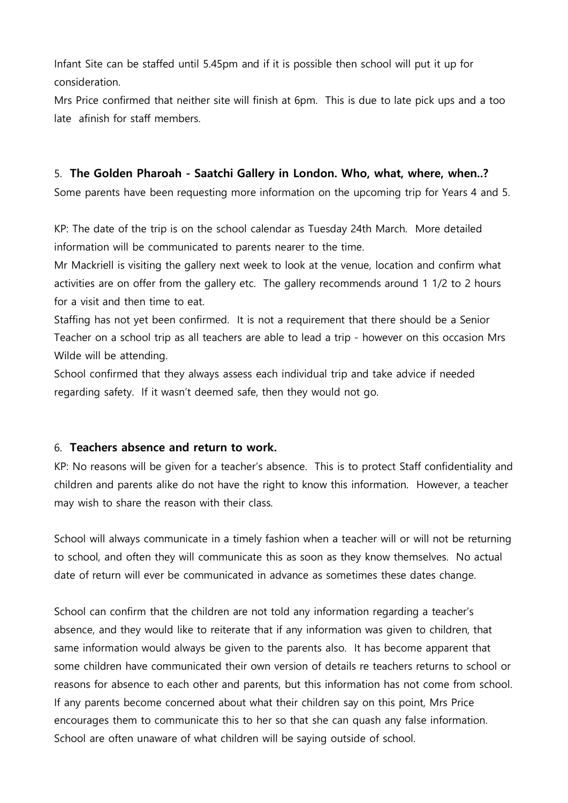Infant Site can be staffed until 5.45pm and if it is possible then school will put it up for consideration.

Mrs Price confirmed that neither site will finish at 6pm. This is due to late pick ups and a too late afinish for staff members.

### 5. **The Golden Pharoah - Saatchi Gallery in London. Who, what, where, when..?**

Some parents have been requesting more information on the upcoming trip for Years 4 and 5.

KP: The date of the trip is on the school calendar as Tuesday 24th March. More detailed information will be communicated to parents nearer to the time.

Mr Mackriell is visiting the gallery next week to look at the venue, location and confirm what activities are on offer from the gallery etc. The gallery recommends around 1 1/2 to 2 hours for a visit and then time to eat.

Staffing has not yet been confirmed. It is not a requirement that there should be a Senior Teacher on a school trip as all teachers are able to lead a trip - however on this occasion Mrs Wilde will be attending.

School confirmed that they always assess each individual trip and take advice if needed regarding safety. If it wasn't deemed safe, then they would not go.

### 6. **Teachers absence and return to work.**

KP: No reasons will be given for a teacher's absence. This is to protect Staff confidentiality and children and parents alike do not have the right to know this information. However, a teacher may wish to share the reason with their class.

School will always communicate in a timely fashion when a teacher will or will not be returning to school, and often they will communicate this as soon as they know themselves. No actual date of return will ever be communicated in advance as sometimes these dates change.

School can confirm that the children are not told any information regarding a teacher's absence, and they would like to reiterate that if any information was given to children, that same information would always be given to the parents also. It has become apparent that some children have communicated their own version of details re teachers returns to school or reasons for absence to each other and parents, but this information has not come from school. If any parents become concerned about what their children say on this point, Mrs Price encourages them to communicate this to her so that she can quash any false information. School are often unaware of what children will be saying outside of school.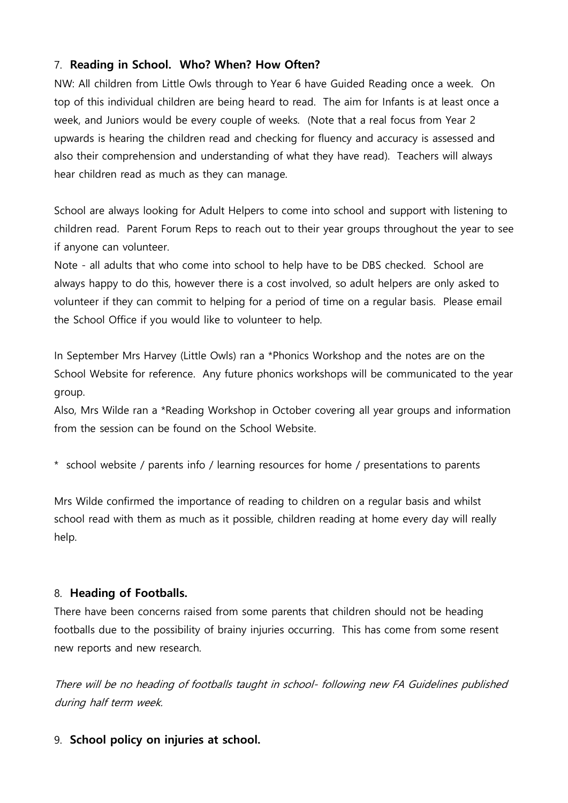# 7. **Reading in School. Who? When? How Often?**

NW: All children from Little Owls through to Year 6 have Guided Reading once a week. On top of this individual children are being heard to read. The aim for Infants is at least once a week, and Juniors would be every couple of weeks. (Note that a real focus from Year 2 upwards is hearing the children read and checking for fluency and accuracy is assessed and also their comprehension and understanding of what they have read). Teachers will always hear children read as much as they can manage.

School are always looking for Adult Helpers to come into school and support with listening to children read. Parent Forum Reps to reach out to their year groups throughout the year to see if anyone can volunteer.

Note - all adults that who come into school to help have to be DBS checked. School are always happy to do this, however there is a cost involved, so adult helpers are only asked to volunteer if they can commit to helping for a period of time on a regular basis. Please email the School Office if you would like to volunteer to help.

In September Mrs Harvey (Little Owls) ran a \*Phonics Workshop and the notes are on the School Website for reference. Any future phonics workshops will be communicated to the year group.

Also, Mrs Wilde ran a \*Reading Workshop in October covering all year groups and information from the session can be found on the School Website.

\* school website / parents info / learning resources for home / presentations to parents

Mrs Wilde confirmed the importance of reading to children on a regular basis and whilst school read with them as much as it possible, children reading at home every day will really help.

### 8. **Heading of Footballs.**

There have been concerns raised from some parents that children should not be heading footballs due to the possibility of brainy injuries occurring. This has come from some resent new reports and new research.

There will be no heading of footballs taught in school- following new FA Guidelines published during half term week.

### 9. **School policy on injuries at school.**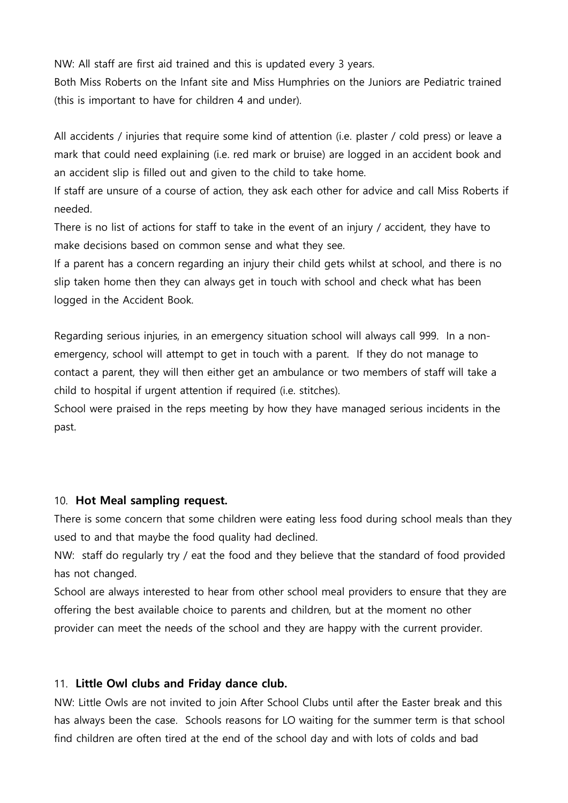NW: All staff are first aid trained and this is updated every 3 years.

Both Miss Roberts on the Infant site and Miss Humphries on the Juniors are Pediatric trained (this is important to have for children 4 and under).

All accidents / injuries that require some kind of attention (i.e. plaster / cold press) or leave a mark that could need explaining (i.e. red mark or bruise) are logged in an accident book and an accident slip is filled out and given to the child to take home.

If staff are unsure of a course of action, they ask each other for advice and call Miss Roberts if needed.

There is no list of actions for staff to take in the event of an injury / accident, they have to make decisions based on common sense and what they see.

If a parent has a concern regarding an injury their child gets whilst at school, and there is no slip taken home then they can always get in touch with school and check what has been logged in the Accident Book.

Regarding serious injuries, in an emergency situation school will always call 999. In a nonemergency, school will attempt to get in touch with a parent. If they do not manage to contact a parent, they will then either get an ambulance or two members of staff will take a child to hospital if urgent attention if required (i.e. stitches).

School were praised in the reps meeting by how they have managed serious incidents in the past.

#### 10. **Hot Meal sampling request.**

There is some concern that some children were eating less food during school meals than they used to and that maybe the food quality had declined.

NW: staff do regularly try / eat the food and they believe that the standard of food provided has not changed.

School are always interested to hear from other school meal providers to ensure that they are offering the best available choice to parents and children, but at the moment no other provider can meet the needs of the school and they are happy with the current provider.

#### 11. **Little Owl clubs and Friday dance club.**

NW: Little Owls are not invited to join After School Clubs until after the Easter break and this has always been the case. Schools reasons for LO waiting for the summer term is that school find children are often tired at the end of the school day and with lots of colds and bad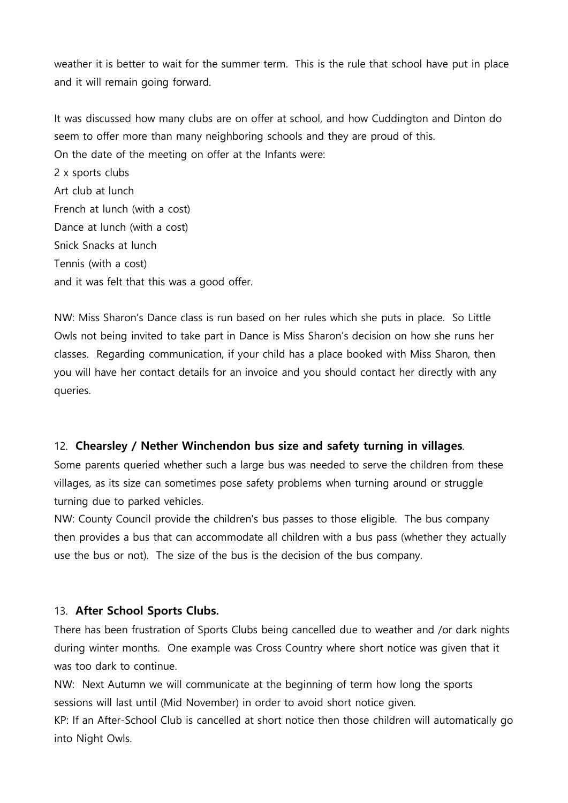weather it is better to wait for the summer term. This is the rule that school have put in place and it will remain going forward.

It was discussed how many clubs are on offer at school, and how Cuddington and Dinton do seem to offer more than many neighboring schools and they are proud of this. On the date of the meeting on offer at the Infants were: 2 x sports clubs Art club at lunch French at lunch (with a cost)

Dance at lunch (with a cost)

Snick Snacks at lunch

Tennis (with a cost)

and it was felt that this was a good offer.

NW: Miss Sharon's Dance class is run based on her rules which she puts in place. So Little Owls not being invited to take part in Dance is Miss Sharon's decision on how she runs her classes. Regarding communication, if your child has a place booked with Miss Sharon, then you will have her contact details for an invoice and you should contact her directly with any queries.

### 12. **Chearsley / Nether Winchendon bus size and safety turning in villages**.

Some parents queried whether such a large bus was needed to serve the children from these villages, as its size can sometimes pose safety problems when turning around or struggle turning due to parked vehicles.

NW: County Council provide the children's bus passes to those eligible. The bus company then provides a bus that can accommodate all children with a bus pass (whether they actually use the bus or not). The size of the bus is the decision of the bus company.

# 13. **After School Sports Clubs.**

There has been frustration of Sports Clubs being cancelled due to weather and /or dark nights during winter months. One example was Cross Country where short notice was given that it was too dark to continue.

NW: Next Autumn we will communicate at the beginning of term how long the sports sessions will last until (Mid November) in order to avoid short notice given.

KP: If an After-School Club is cancelled at short notice then those children will automatically go into Night Owls.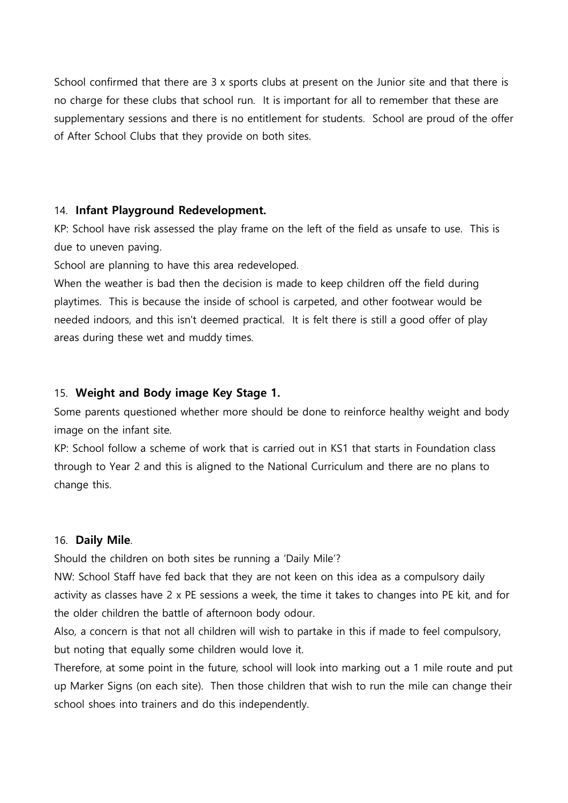School confirmed that there are 3 x sports clubs at present on the Junior site and that there is no charge for these clubs that school run. It is important for all to remember that these are supplementary sessions and there is no entitlement for students. School are proud of the offer of After School Clubs that they provide on both sites.

#### 14. **Infant Playground Redevelopment.**

KP: School have risk assessed the play frame on the left of the field as unsafe to use. This is due to uneven paving.

School are planning to have this area redeveloped.

When the weather is bad then the decision is made to keep children off the field during playtimes. This is because the inside of school is carpeted, and other footwear would be needed indoors, and this isn't deemed practical. It is felt there is still a good offer of play areas during these wet and muddy times.

### 15. **Weight and Body image Key Stage 1.**

Some parents questioned whether more should be done to reinforce healthy weight and body image on the infant site.

KP: School follow a scheme of work that is carried out in KS1 that starts in Foundation class through to Year 2 and this is aligned to the National Curriculum and there are no plans to change this.

### 16. **Daily Mile**.

Should the children on both sites be running a 'Daily Mile'?

NW: School Staff have fed back that they are not keen on this idea as a compulsory daily activity as classes have 2 x PE sessions a week, the time it takes to changes into PE kit, and for the older children the battle of afternoon body odour.

Also, a concern is that not all children will wish to partake in this if made to feel compulsory, but noting that equally some children would love it.

Therefore, at some point in the future, school will look into marking out a 1 mile route and put up Marker Signs (on each site). Then those children that wish to run the mile can change their school shoes into trainers and do this independently.